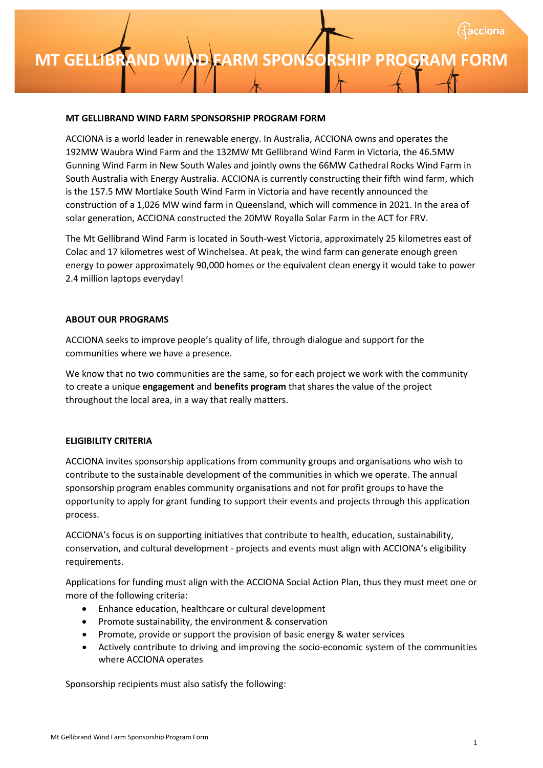### **MT GELLIBRAND WIND FARM SPONSORSHIP PROGRAM**

#### **MT GELLIBRAND WIND FARM SPONSORSHIP PROGRAM FORM**

ACCIONA is a world leader in renewable energy. In Australia, ACCIONA owns and operates the 192MW Waubra Wind Farm and the 132MW Mt Gellibrand Wind Farm in Victoria, the 46.5MW Gunning Wind Farm in New South Wales and jointly owns the 66MW Cathedral Rocks Wind Farm in South Australia with Energy Australia. ACCIONA is currently constructing their fifth wind farm, which is the 157.5 MW Mortlake South Wind Farm in Victoria and have recently announced the construction of a 1,026 MW wind farm in Queensland, which will commence in 2021. In the area of solar generation, ACCIONA constructed the 20MW Royalla Solar Farm in the ACT for FRV.

The Mt Gellibrand Wind Farm is located in South-west Victoria, approximately 25 kilometres east of Colac and 17 kilometres west of Winchelsea. At peak, the wind farm can generate enough green energy to power approximately 90,000 homes or the equivalent clean energy it would take to power 2.4 million laptops everyday!

#### **ABOUT OUR PROGRAMS**

ACCIONA seeks to improve people's quality of life, through dialogue and support for the communities where we have a presence.

We know that no two communities are the same, so for each project we work with the community to create a unique **engagement** and **benefits program** that shares the value of the project throughout the local area, in a way that really matters.

#### **ELIGIBILITY CRITERIA**

ACCIONA invites sponsorship applications from community groups and organisations who wish to contribute to the sustainable development of the communities in which we operate. The annual sponsorship program enables community organisations and not for profit groups to have the opportunity to apply for grant funding to support their events and projects through this application process.

ACCIONA's focus is on supporting initiatives that contribute to health, education, sustainability, conservation, and cultural development - projects and events must align with ACCIONA's eligibility requirements.

Applications for funding must align with the ACCIONA Social Action Plan, thus they must meet one or more of the following criteria:

- Enhance education, healthcare or cultural development
- Promote sustainability, the environment & conservation
- Promote, provide or support the provision of basic energy & water services
- Actively contribute to driving and improving the socio-economic system of the communities where ACCIONA operates

Sponsorship recipients must also satisfy the following: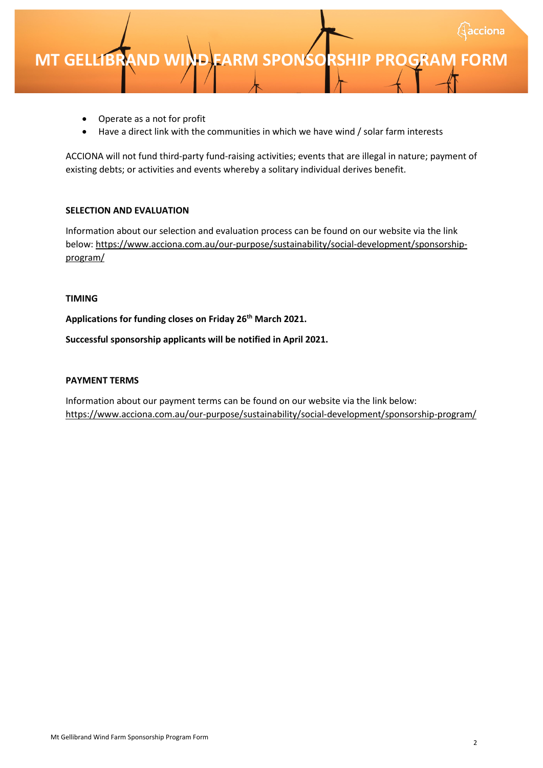- Operate as a not for profit
- Have a direct link with the communities in which we have wind / solar farm interests

ACCIONA will not fund third-party fund-raising activities; events that are illegal in nature; payment of existing debts; or activities and events whereby a solitary individual derives benefit.

#### **SELECTION AND EVALUATION**

Information about our selection and evaluation process can be found on our website via the link [below: https://www.acciona.com.au/our-purpose/sustainability/social-development/sponsorship](https://www.acciona.com.au/our-purpose/sustainability/social-development/sponsorship-program/)program/

#### **TIMING**

**Applications for funding closes on Friday 26th March 2021.**

**Successful sponsorship applicants will be notified in April 2021.**

#### **PAYMENT TERMS**

Information about our payment terms can be found on our website via the link below: <https://www.acciona.com.au/our-purpose/sustainability/social-development/sponsorship-program/>

cciona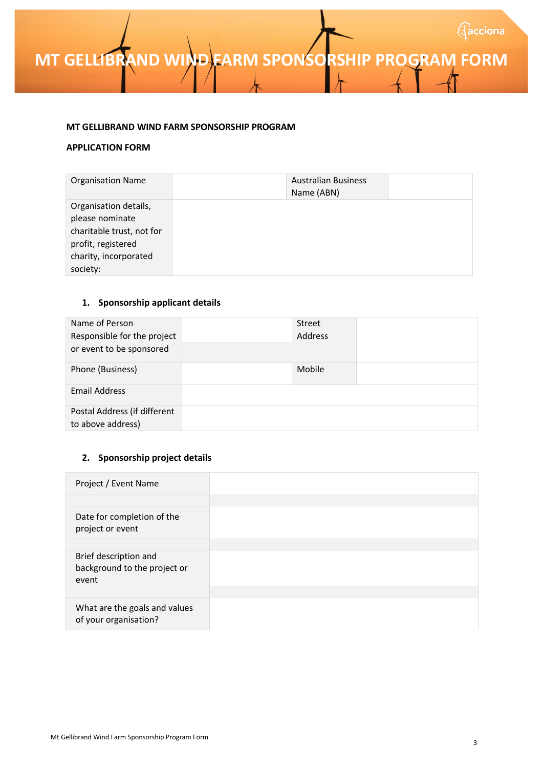### **MT GELLIBRAND WIND FARM SPONSORSHIP PROGRAM FORM**

#### **MT GELLIBRAND WIND FARM SPONSORSHIP PROGRAM**

#### **APPLICATION FORM**

| <b>Organisation Name</b>  | <b>Australian Business</b><br>Name (ABN) |  |
|---------------------------|------------------------------------------|--|
| Organisation details,     |                                          |  |
| please nominate           |                                          |  |
| charitable trust, not for |                                          |  |
| profit, registered        |                                          |  |
| charity, incorporated     |                                          |  |
| society:                  |                                          |  |

#### **1. Sponsorship applicant details**

| Name of Person                                    | Street  |  |
|---------------------------------------------------|---------|--|
| Responsible for the project                       | Address |  |
| or event to be sponsored                          |         |  |
| Phone (Business)                                  | Mobile  |  |
| <b>Email Address</b>                              |         |  |
| Postal Address (if different<br>to above address) |         |  |

#### **2. Sponsorship project details**

| Project / Event Name                                           |  |
|----------------------------------------------------------------|--|
|                                                                |  |
| Date for completion of the<br>project or event                 |  |
|                                                                |  |
| Brief description and<br>background to the project or<br>event |  |
|                                                                |  |
| What are the goals and values<br>of your organisation?         |  |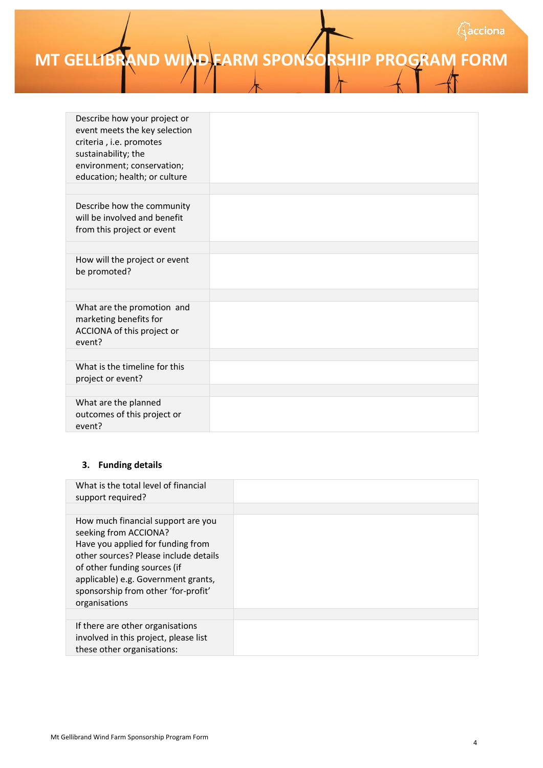# **MT GELLIBRAND WIND FARM SPONSORSHIP PROGRAM FORM**

| Describe how your project or<br>event meets the key selection<br>criteria, i.e. promotes<br>sustainability; the<br>environment; conservation;<br>education; health; or culture |  |
|--------------------------------------------------------------------------------------------------------------------------------------------------------------------------------|--|
|                                                                                                                                                                                |  |
| Describe how the community<br>will be involved and benefit<br>from this project or event                                                                                       |  |
|                                                                                                                                                                                |  |
| How will the project or event<br>be promoted?                                                                                                                                  |  |
|                                                                                                                                                                                |  |
| What are the promotion and<br>marketing benefits for<br>ACCIONA of this project or<br>event?                                                                                   |  |
|                                                                                                                                                                                |  |
| What is the timeline for this<br>project or event?                                                                                                                             |  |
|                                                                                                                                                                                |  |
| What are the planned<br>outcomes of this project or<br>event?                                                                                                                  |  |

#### **3. Funding details**

| What is the total level of financial<br>support required?                                                                                                                                                                                                                |  |
|--------------------------------------------------------------------------------------------------------------------------------------------------------------------------------------------------------------------------------------------------------------------------|--|
| How much financial support are you<br>seeking from ACCIONA?<br>Have you applied for funding from<br>other sources? Please include details<br>of other funding sources (if<br>applicable) e.g. Government grants,<br>sponsorship from other 'for-profit'<br>organisations |  |
|                                                                                                                                                                                                                                                                          |  |
| If there are other organisations<br>involved in this project, please list<br>these other organisations:                                                                                                                                                                  |  |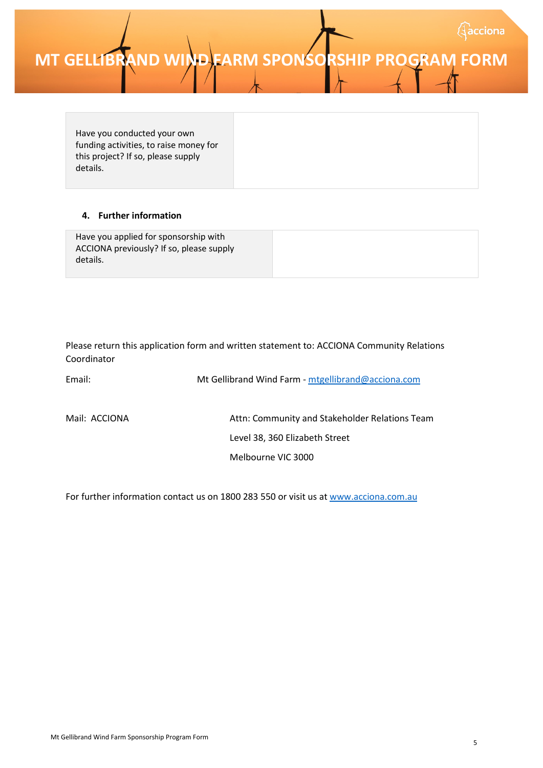### **MT GELLIBRAND WIND FARM SPONSORSHIP PROGRAM FORM**

Have you conducted your own funding activities, to raise money for this project? If so, please supply details.

#### **4. Further information**

| Have you applied for sponsorship with<br>ACCIONA previously? If so, please supply |  |
|-----------------------------------------------------------------------------------|--|
| details.                                                                          |  |

Please return this application form and written statement to: ACCIONA Community Relations Coordinator

| Email:        | Mt Gellibrand Wind Farm - mtgellibrand@acciona.com |  |  |  |
|---------------|----------------------------------------------------|--|--|--|
| Mail: ACCIONA | Attn: Community and Stakeholder Relations Team     |  |  |  |
|               | Level 38, 360 Elizabeth Street                     |  |  |  |
|               | Melbourne VIC 3000                                 |  |  |  |

For further information contact us on 1800 283 550 or visit us a[t www.acciona.com.au](http://www.acciona.com.au/)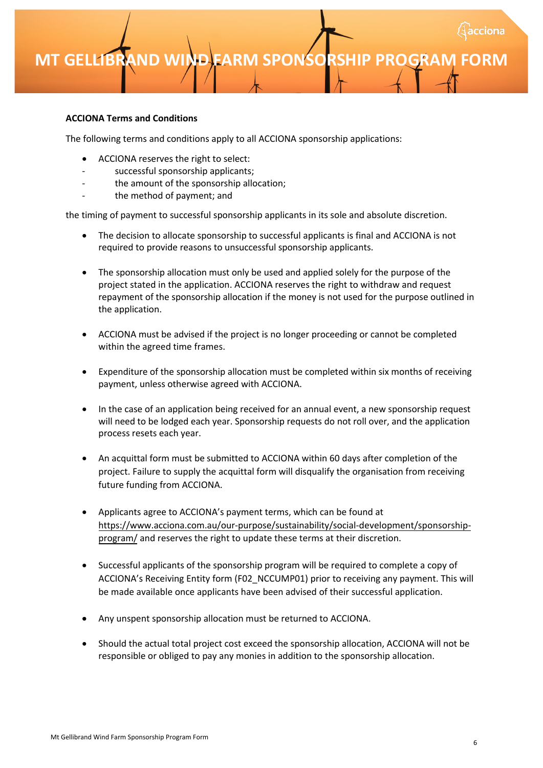### **MT GELLIBRAND WIND FARM SPONSORSHIP PROGRAM**

#### **ACCIONA Terms and Conditions**

The following terms and conditions apply to all ACCIONA sponsorship applications:

- ACCIONA reserves the right to select:
- successful sponsorship applicants;
- the amount of the sponsorship allocation;
- the method of payment; and

the timing of payment to successful sponsorship applicants in its sole and absolute discretion.

- The decision to allocate sponsorship to successful applicants is final and ACCIONA is not required to provide reasons to unsuccessful sponsorship applicants.
- The sponsorship allocation must only be used and applied solely for the purpose of the project stated in the application. ACCIONA reserves the right to withdraw and request repayment of the sponsorship allocation if the money is not used for the purpose outlined in the application.
- ACCIONA must be advised if the project is no longer proceeding or cannot be completed within the agreed time frames.
- Expenditure of the sponsorship allocation must be completed within six months of receiving payment, unless otherwise agreed with ACCIONA.
- In the case of an application being received for an annual event, a new sponsorship request will need to be lodged each year. Sponsorship requests do not roll over, and the application process resets each year.
- An acquittal form must be submitted to ACCIONA within 60 days after completion of the project. Failure to supply the acquittal form will disqualify the organisation from receiving future funding from ACCIONA.
- Applicants agree to ACCIONA's payment terms, which can be found at [https://www.acciona.com.au/our-purpose/sustainability/social-development/sponsorship](https://www.acciona.com.au/our-purpose/sustainability/social-development/sponsorship-program/)program/ and reserves the right to update these terms at their discretion.
- Successful applicants of the sponsorship program will be required to complete a copy of ACCIONA's Receiving Entity form (F02\_NCCUMP01) prior to receiving any payment. This will be made available once applicants have been advised of their successful application.
- Any unspent sponsorship allocation must be returned to ACCIONA.
- Should the actual total project cost exceed the sponsorship allocation, ACCIONA will not be responsible or obliged to pay any monies in addition to the sponsorship allocation.